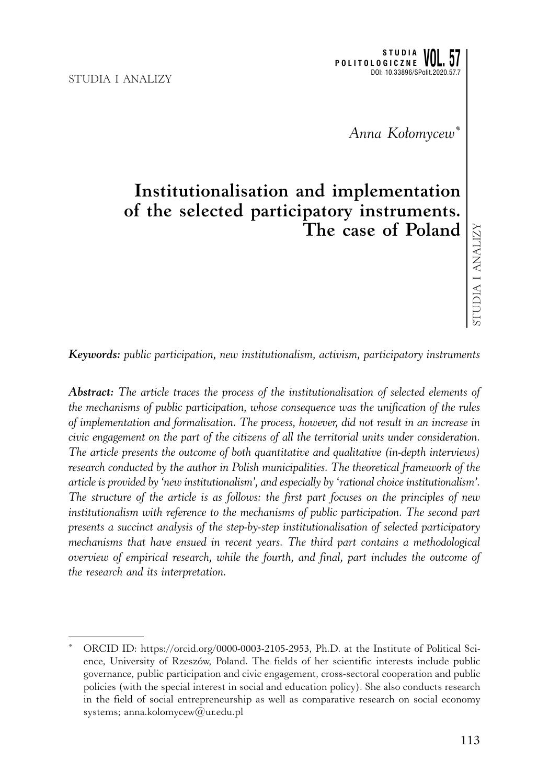*Anna Kołomycew\**

# **Institutionalisation and implementation of the selected participatory instruments. The case of Poland**

*Keywords: public participation, new institutionalism, activism, participatory instruments*

*Abstract: The article traces the process of the institutionalisation of selected elements of the mechanisms of public participation, whose consequence was the unification of the rules of implementation and formalisation. The process, however, did not result in an increase in civic engagement on the part of the citizens of all the territorial units under consideration. The article presents the outcome of both quantitative and qualitative (in-depth interviews) research conducted by the author in Polish municipalities. The theoretical framework of the article is provided by 'new institutionalism', and especially by 'rational choice institutionalism'. The structure of the article is as follows: the first part focuses on the principles of new institutionalism with reference to the mechanisms of public participation. The second part presents a succinct analysis of the step-by-step institutionalisation of selected participatory mechanisms that have ensued in recent years. The third part contains a methodological overview of empirical research, while the fourth, and final, part includes the outcome of the research and its interpretation.*

ORCID ID: https://orcid.org/0000-0003-2105-2953, Ph.D. at the Institute of Political Science, University of Rzeszów, Poland. The fields of her scientific interests include public governance, public participation and civic engagement, cross-sectoral cooperation and public policies (with the special interest in social and education policy). She also conducts research in the field of social entrepreneurship as well as comparative research on social economy systems; anna.kolomycew@ur.edu.pl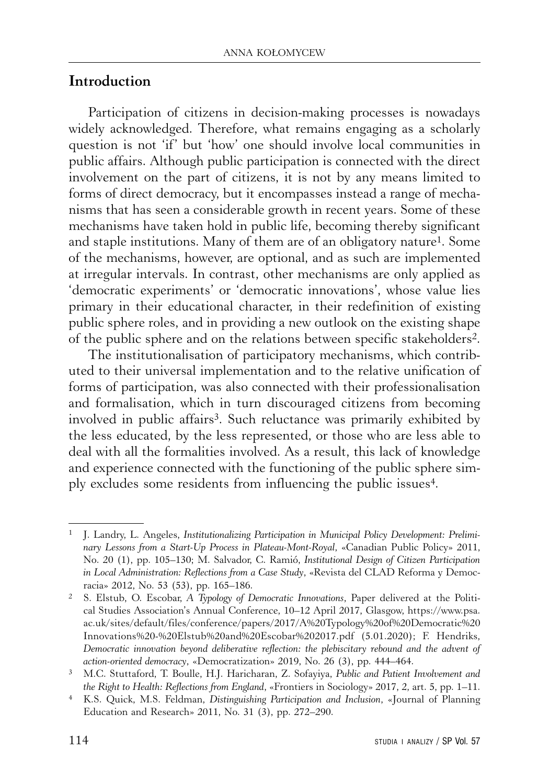## **Introduction**

Participation of citizens in decision-making processes is nowadays widely acknowledged. Therefore, what remains engaging as a scholarly question is not 'if' but 'how' one should involve local communities in public affairs. Although public participation is connected with the direct involvement on the part of citizens, it is not by any means limited to forms of direct democracy, but it encompasses instead a range of mechanisms that has seen a considerable growth in recent years. Some of these mechanisms have taken hold in public life, becoming thereby significant and staple institutions. Many of them are of an obligatory nature<sup>1</sup>. Some of the mechanisms, however, are optional, and as such are implemented at irregular intervals. In contrast, other mechanisms are only applied as 'democratic experiments' or 'democratic innovations', whose value lies primary in their educational character, in their redefinition of existing public sphere roles, and in providing a new outlook on the existing shape of the public sphere and on the relations between specific stakeholders2.

The institutionalisation of participatory mechanisms, which contributed to their universal implementation and to the relative unification of forms of participation, was also connected with their professionalisation and formalisation, which in turn discouraged citizens from becoming involved in public affairs<sup>3</sup>. Such reluctance was primarily exhibited by the less educated, by the less represented, or those who are less able to deal with all the formalities involved. As a result, this lack of knowledge and experience connected with the functioning of the public sphere simply excludes some residents from influencing the public issues4.

<sup>1</sup> J. Landry, L. Angeles, *Institutionalizing Participation in Municipal Policy Development: Preliminary Lessons from a Start-Up Process in Plateau-Mont-Royal*, «Canadian Public Policy» 2011, No. 20 (1), pp. 105–130; M. Salvador, C. Ramió, *Institutional Design of Citizen Participation in Local Administration: Reflections from a Case Study*, «Revista del CLAD Reforma y Democracia» 2012, No. 53 (53), pp. 165–186.

<sup>2</sup> S. Elstub, O. Escobar, *A Typology of Democratic Innovations*, Paper delivered at the Political Studies Association's Annual Conference, 10–12 April 2017, Glasgow, https://www.psa. ac.uk/sites/default/files/conference/papers/2017/A%20Typology%20of%20Democratic%20 Innovations%20-%20Elstub%20and%20Escobar%202017.pdf (5.01.2020); F. Hendriks, *Democratic innovation beyond deliberative reflection: the plebiscitary rebound and the advent of action-oriented democracy*, «Democratization» 2019, No. 26 (3), pp. 444–464.

<sup>3</sup> M.C. Stuttaford, T. Boulle, H.J. Haricharan, Z. Sofayiya, *Public and Patient Involvement and the Right to Health: Reflections from England*, «Frontiers in Sociology» 2017, 2, art. 5, pp. 1–11.

<sup>4</sup> K.S. Quick, M.S. Feldman, *Distinguishing Participation and Inclusion*, «Journal of Planning Education and Research» 2011, No. 31 (3), pp. 272–290.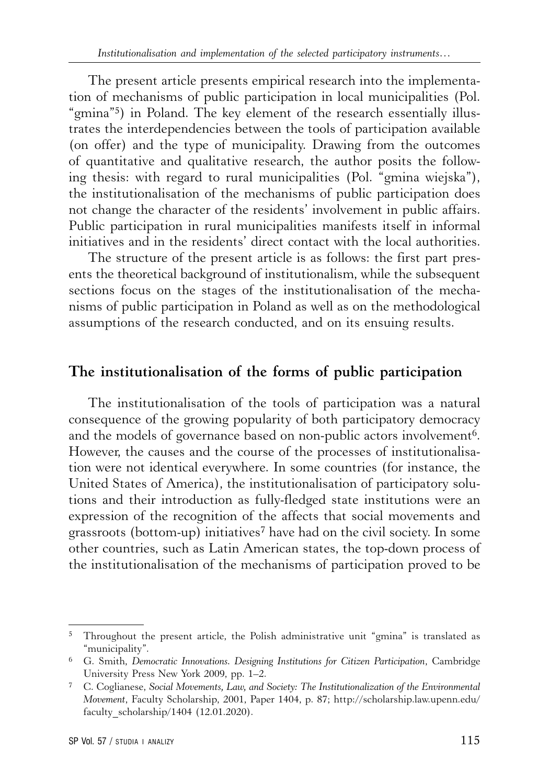The present article presents empirical research into the implementation of mechanisms of public participation in local municipalities (Pol. "gmina"5) in Poland. The key element of the research essentially illustrates the interdependencies between the tools of participation available (on offer) and the type of municipality. Drawing from the outcomes of quantitative and qualitative research, the author posits the following thesis: with regard to rural municipalities (Pol. "gmina wiejska"), the institutionalisation of the mechanisms of public participation does not change the character of the residents' involvement in public affairs. Public participation in rural municipalities manifests itself in informal initiatives and in the residents' direct contact with the local authorities.

The structure of the present article is as follows: the first part presents the theoretical background of institutionalism, while the subsequent sections focus on the stages of the institutionalisation of the mechanisms of public participation in Poland as well as on the methodological assumptions of the research conducted, and on its ensuing results.

#### **The institutionalisation of the forms of public participation**

The institutionalisation of the tools of participation was a natural consequence of the growing popularity of both participatory democracy and the models of governance based on non-public actors involvement<sup>6</sup>. However, the causes and the course of the processes of institutionalisation were not identical everywhere. In some countries (for instance, the United States of America), the institutionalisation of participatory solutions and their introduction as fully-fledged state institutions were an expression of the recognition of the affects that social movements and grassroots (bottom-up) initiatives7 have had on the civil society. In some other countries, such as Latin American states, the top-down process of the institutionalisation of the mechanisms of participation proved to be

<sup>5</sup> Throughout the present article, the Polish administrative unit "gmina" is translated as "municipality".

<sup>6</sup> G. Smith, *Democratic Innovations. Designing Institutions for Citizen Participation*, Cambridge University Press New York 2009, pp. 1–2.

<sup>7</sup> C. Coglianese, *Social Movements, Law, and Society: The Institutionalization of the Environmental Movement*, Faculty Scholarship, 2001, Paper 1404, p. 87; http://scholarship.law.upenn.edu/ faculty\_scholarship/1404 (12.01.2020).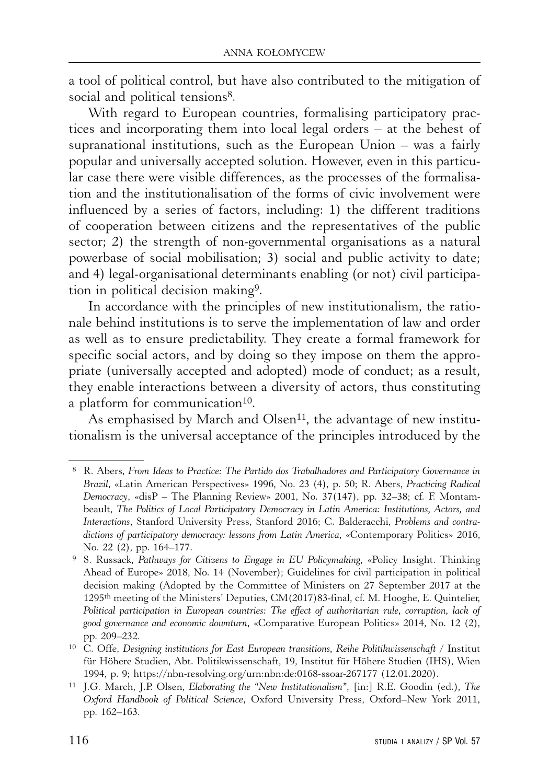a tool of political control, but have also contributed to the mitigation of social and political tensions<sup>8</sup>.

With regard to European countries, formalising participatory practices and incorporating them into local legal orders – at the behest of supranational institutions, such as the European Union – was a fairly popular and universally accepted solution. However, even in this particular case there were visible differences, as the processes of the formalisation and the institutionalisation of the forms of civic involvement were influenced by a series of factors, including: 1) the different traditions of cooperation between citizens and the representatives of the public sector; 2) the strength of non-governmental organisations as a natural powerbase of social mobilisation; 3) social and public activity to date; and 4) legal-organisational determinants enabling (or not) civil participation in political decision making9.

In accordance with the principles of new institutionalism, the rationale behind institutions is to serve the implementation of law and order as well as to ensure predictability. They create a formal framework for specific social actors, and by doing so they impose on them the appropriate (universally accepted and adopted) mode of conduct; as a result, they enable interactions between a diversity of actors, thus constituting a platform for communication<sup>10</sup>.

As emphasised by March and Olsen<sup>11</sup>, the advantage of new institutionalism is the universal acceptance of the principles introduced by the

 <sup>8</sup> R. Abers, *From Ideas to Practice: The Partido dos Trabalhadores and Participatory Governance in Brazil*, «Latin American Perspectives» 1996, No. 23 (4), p. 50; R. Abers, *Practicing Radical Democracy*, «disP – The Planning Review» 2001, No. 37(147), pp. 32–38; cf. F. Montambeault, *The Politics of Local Participatory Democracy in Latin America: Institutions, Actors, and Interactions*, Stanford University Press, Stanford 2016; C. Balderacchi, *Problems and contradictions of participatory democracy: lessons from Latin America*, «Contemporary Politics» 2016, No. 22 (2), pp. 164–177. 9 S. Russack, *Pathways for Citizens to Engage in EU Policymaking*, «Policy Insight. Thinking

Ahead of Europe» 2018, No. 14 (November); Guidelines for civil participation in political decision making (Adopted by the Committee of Ministers on 27 September 2017 at the 1295th meeting of the Ministers' Deputies, CM(2017)83-final, cf. M. Hooghe, E. Quintelier, *Political participation in European countries: The effect of authoritarian rule, corruption, lack of good governance and economic downturn*, «Comparative European Politics» 2014, No. 12 (2), pp. 209–232.

<sup>&</sup>lt;sup>10</sup> C. Offe, *Designing institutions for East European transitions, Reihe Politikwissenschaft / Institut* für Höhere Studien, Abt. Politikwissenschaft, 19, Institut für Höhere Studien (IHS), Wien 1994, p. 9; https://nbn-resolving.org/urn:nbn:de:0168-ssoar-267177 (12.01.2020).

<sup>11</sup> J.G. March, J.P. Olsen, *Elaborating the "New Institutionalism"*, [in:] R.E. Goodin (ed.), *The Oxford Handbook of Political Science*, Oxford University Press, Oxford–New York 2011, pp. 162–163.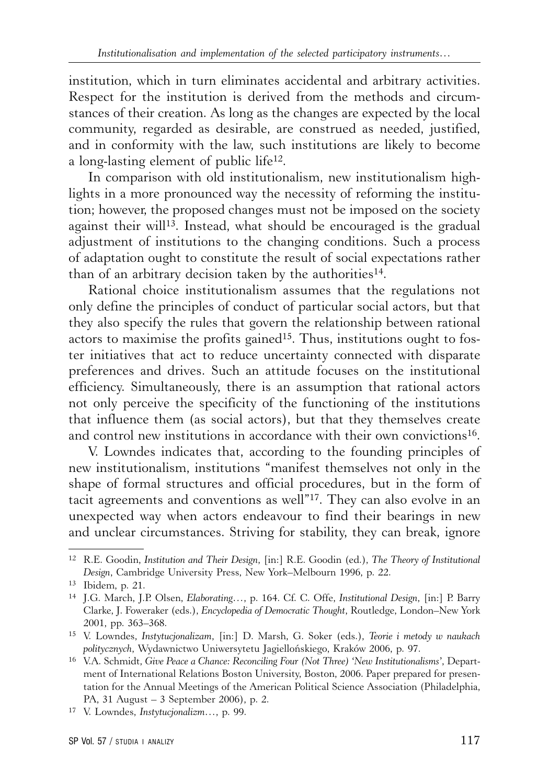institution, which in turn eliminates accidental and arbitrary activities. Respect for the institution is derived from the methods and circumstances of their creation. As long as the changes are expected by the local community, regarded as desirable, are construed as needed, justified, and in conformity with the law, such institutions are likely to become a long-lasting element of public life12.

In comparison with old institutionalism, new institutionalism highlights in a more pronounced way the necessity of reforming the institution; however, the proposed changes must not be imposed on the society against their will<sup>13</sup>. Instead, what should be encouraged is the gradual adjustment of institutions to the changing conditions. Such a process of adaptation ought to constitute the result of social expectations rather than of an arbitrary decision taken by the authorities<sup>14</sup>.

Rational choice institutionalism assumes that the regulations not only define the principles of conduct of particular social actors, but that they also specify the rules that govern the relationship between rational actors to maximise the profits gained<sup>15</sup>. Thus, institutions ought to foster initiatives that act to reduce uncertainty connected with disparate preferences and drives. Such an attitude focuses on the institutional efficiency. Simultaneously, there is an assumption that rational actors not only perceive the specificity of the functioning of the institutions that influence them (as social actors), but that they themselves create and control new institutions in accordance with their own convictions16.

V. Lowndes indicates that, according to the founding principles of new institutionalism, institutions "manifest themselves not only in the shape of formal structures and official procedures, but in the form of tacit agreements and conventions as well"17. They can also evolve in an unexpected way when actors endeavour to find their bearings in new and unclear circumstances. Striving for stability, they can break, ignore

<sup>12</sup> R.E. Goodin, *Institution and Their Design*, [in:] R.E. Goodin (ed.), *The Theory of Institutional Design*, Cambridge University Press, New York–Melbourn 1996, p. 22.

<sup>13</sup> Ibidem, p. 21.

<sup>14</sup> J.G. March, J.P. Olsen, *Elaborating…*, p. 164. Cf. C. Offe, *Institutional Design*, [in:] P. Barry Clarke, J. Foweraker (eds.), *Encyclopedia of Democratic Thought*, Routledge, London–New York 2001, pp. 363–368.

<sup>15</sup> V. Lowndes, *Instytucjonalizam*, [in:] D. Marsh, G. Soker (eds.), *Teorie i metody w naukach politycznych*, Wydawnictwo Uniwersytetu Jagiellońskiego, Kraków 2006, p. 97.

<sup>16</sup> V.A. Schmidt, *Give Peace a Chance: Reconciling Four (Not Three) 'New Institutionalisms'*, Department of International Relations Boston University, Boston, 2006. Paper prepared for presentation for the Annual Meetings of the American Political Science Association (Philadelphia, PA, 31 August – 3 September 2006), p. 2.

<sup>17</sup> V. Lowndes, *Instytucjonalizm…*, p. 99.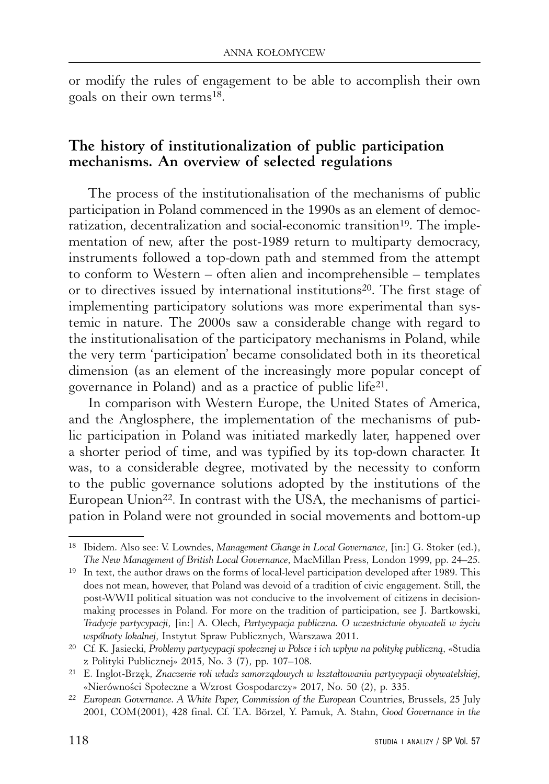or modify the rules of engagement to be able to accomplish their own goals on their own terms18.

### **The history of institutionalization of public participation mechanisms. An overview of selected regulations**

The process of the institutionalisation of the mechanisms of public participation in Poland commenced in the 1990s as an element of democratization, decentralization and social-economic transition<sup>19</sup>. The implementation of new, after the post-1989 return to multiparty democracy, instruments followed a top-down path and stemmed from the attempt to conform to Western – often alien and incomprehensible – templates or to directives issued by international institutions<sup>20</sup>. The first stage of implementing participatory solutions was more experimental than systemic in nature. The 2000s saw a considerable change with regard to the institutionalisation of the participatory mechanisms in Poland, while the very term 'participation' became consolidated both in its theoretical dimension (as an element of the increasingly more popular concept of governance in Poland) and as a practice of public life21.

In comparison with Western Europe, the United States of America, and the Anglosphere, the implementation of the mechanisms of public participation in Poland was initiated markedly later, happened over a shorter period of time, and was typified by its top-down character. It was, to a considerable degree, motivated by the necessity to conform to the public governance solutions adopted by the institutions of the European Union<sup>22</sup>. In contrast with the USA, the mechanisms of participation in Poland were not grounded in social movements and bottom-up

<sup>18</sup> Ibidem. Also see: V. Lowndes, *Management Change in Local Governance*, [in:] G. Stoker (ed.), *The New Management of British Local Governance*, MacMillan Press, London 1999, pp. 24–25.

<sup>19</sup> In text, the author draws on the forms of local-level participation developed after 1989. This does not mean, however, that Poland was devoid of a tradition of civic engagement. Still, the post-WWII political situation was not conducive to the involvement of citizens in decisionmaking processes in Poland. For more on the tradition of participation, see J. Bartkowski, *Tradycje partycypacji*, [in:] A. Olech, *Partycypacja publiczna. O uczestnictwie obywateli w życiu wspólnoty lokalnej*, Instytut Spraw Publicznych, Warszawa 2011.

<sup>20</sup> Cf. K. Jasiecki, *Problemy partycypacji społecznej w Polsce i ich wpływ na politykę publiczną*, «Studia z Polityki Publicznej» 2015, No. 3 (7), pp. 107–108.

<sup>21</sup> E. Inglot-Brzęk, *Znaczenie roli władz samorządowych w kształtowaniu partycypacji obywatelskiej*, «Nierówności Społeczne a Wzrost Gospodarczy» 2017, No. 50 (2), p. 335.

<sup>22</sup> *European Governance. A White Paper, Commission of the European* Countries, Brussels, 25 July 2001, COM(2001), 428 final. Cf. T.A. Börzel, Y. Pamuk, A. Stahn, *Good Governance in the*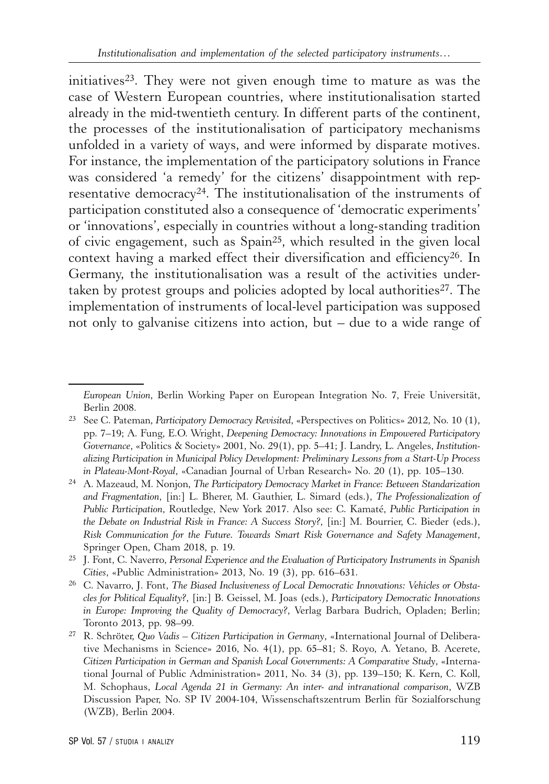initiatives<sup>23</sup>. They were not given enough time to mature as was the case of Western European countries, where institutionalisation started already in the mid-twentieth century. In different parts of the continent, the processes of the institutionalisation of participatory mechanisms unfolded in a variety of ways, and were informed by disparate motives. For instance, the implementation of the participatory solutions in France was considered 'a remedy' for the citizens' disappointment with representative democracy<sup>24</sup>. The institutionalisation of the instruments of participation constituted also a consequence of 'democratic experiments' or 'innovations', especially in countries without a long-standing tradition of civic engagement, such as Spain25, which resulted in the given local context having a marked effect their diversification and efficiency<sup>26</sup>. In Germany, the institutionalisation was a result of the activities undertaken by protest groups and policies adopted by local authorities<sup>27</sup>. The implementation of instruments of local-level participation was supposed not only to galvanise citizens into action, but – due to a wide range of

*European Union*, Berlin Working Paper on European Integration No. 7, Freie Universität, Berlin 2008.

<sup>23</sup> See C. Pateman, *Participatory Democracy Revisited*, «Perspectives on Politics» 2012, No. 10 (1), pp. 7–19; A. Fung, E.O. Wright, *Deepening Democracy: Innovations in Empowered Participatory Governance*, «Politics & Society» 2001, No. 29(1), pp. 5–41; J. Landry, L. Angeles, *Institutionalizing Participation in Municipal Policy Development: Preliminary Lessons from a Start-Up Process in Plateau-Mont-Royal*, «Canadian Journal of Urban Research» No. 20 (1), pp. 105–130.

<sup>24</sup> A. Mazeaud, M. Nonjon, *The Participatory Democracy Market in France: Between Standarization and Fragmentation*, [in:] L. Bherer, M. Gauthier, L. Simard (eds.), *The Professionalization of Public Participation*, Routledge, New York 2017. Also see: C. Kamaté, *Public Participation in the Debate on Industrial Risk in France: A Success Story?*, [in:] M. Bourrier, C. Bieder (eds.), *Risk Communication for the Future. Towards Smart Risk Governance and Safety Management*, Springer Open, Cham 2018, p. 19.

<sup>25</sup> J. Font, C. Naverro, *Personal Experience and the Evaluation of Participatory Instruments in Spanish Cities*, «Public Administration» 2013, No. 19 (3), pp. 616–631.

<sup>26</sup> C. Navarro, J. Font, *The Biased Inclusiveness of Local Democratic Innovations: Vehicles or Obstacles for Political Equality?*, [in:] B. Geissel, M. Joas (eds.), *Participatory Democratic Innovations in Europe: Improving the Quality of Democracy?*, Verlag Barbara Budrich, Opladen; Berlin; Toronto 2013, pp. 98–99.

<sup>27</sup> R. Schröter, *Quo Vadis – Citizen Participation in Germany*, «International Journal of Deliberative Mechanisms in Science» 2016, No. 4(1), pp. 65–81; S. Royo, A. Yetano, B. Acerete, *Citizen Participation in German and Spanish Local Governments: A Comparative Study*, «International Journal of Public Administration» 2011, No. 34 (3), pp. 139–150; K. Kern, C. Koll, M. Schophaus, *Local Agenda 21 in Germany: An inter- and intranational comparison*, WZB Discussion Paper, No. SP IV 2004-104, Wissenschaftszentrum Berlin für Sozialforschung (WZB), Berlin 2004.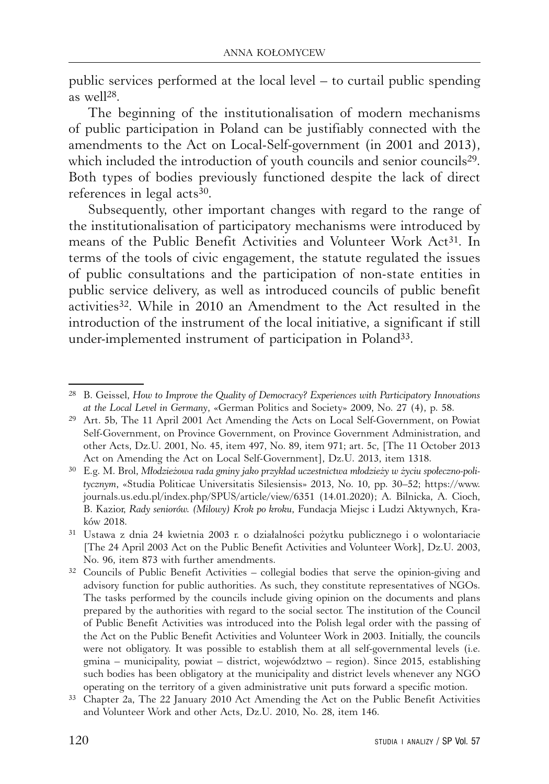public services performed at the local level – to curtail public spending as well28.

The beginning of the institutionalisation of modern mechanisms of public participation in Poland can be justifiably connected with the amendments to the Act on Local-Self-government (in 2001 and 2013), which included the introduction of youth councils and senior councils<sup>29</sup>. Both types of bodies previously functioned despite the lack of direct references in legal acts<sup>30</sup>.

Subsequently, other important changes with regard to the range of the institutionalisation of participatory mechanisms were introduced by means of the Public Benefit Activities and Volunteer Work Act31. In terms of the tools of civic engagement, the statute regulated the issues of public consultations and the participation of non-state entities in public service delivery, as well as introduced councils of public benefit activities32. While in 2010 an Amendment to the Act resulted in the introduction of the instrument of the local initiative, a significant if still under-implemented instrument of participation in Poland33.

<sup>28</sup> B. Geissel, *How to Improve the Quality of Democracy? Experiences with Participatory Innovations at the Local Level in Germany*, «German Politics and Society» 2009, No. 27 (4), p. 58.

<sup>29</sup> Art. 5b, The 11 April 2001 Act Amending the Acts on Local Self-Government, on Powiat Self-Government, on Province Government, on Province Government Administration, and other Acts, Dz.U. 2001, No. 45, item 497, No. 89, item 971; art. 5c, [The 11 October 2013 Act on Amending the Act on Local Self-Government], Dz.U. 2013, item 1318.

<sup>30</sup> E.g. M. Brol, *Młodzieżowa rada gminy jako przykład uczestnictwa młodzieży w życiu społeczno-politycznym*, «Studia Politicae Universitatis Silesiensis» 2013, No. 10, pp. 30–52; https://www. journals.us.edu.pl/index.php/SPUS/article/view/6351 (14.01.2020); A. Bilnicka, A. Cioch, B. Kazior, *Rady seniorów. (Milowy) Krok po kroku*, Fundacja Miejsc i Ludzi Aktywnych, Kraków 2018.

<sup>31</sup> Ustawa z dnia 24 kwietnia 2003 r. o działalności pożytku publicznego i o wolontariacie [The 24 April 2003 Act on the Public Benefit Activities and Volunteer Work], Dz.U. 2003, No. 96, item 873 with further amendments.

 $32$  Councils of Public Benefit Activities – collegial bodies that serve the opinion-giving and advisory function for public authorities. As such, they constitute representatives of NGOs. The tasks performed by the councils include giving opinion on the documents and plans prepared by the authorities with regard to the social sector. The institution of the Council of Public Benefit Activities was introduced into the Polish legal order with the passing of the Act on the Public Benefit Activities and Volunteer Work in 2003. Initially, the councils were not obligatory. It was possible to establish them at all self-governmental levels (i.e. gmina – municipality, powiat – district, województwo – region). Since 2015, establishing such bodies has been obligatory at the municipality and district levels whenever any NGO operating on the territory of a given administrative unit puts forward a specific motion.

<sup>33</sup> Chapter 2a, The 22 January 2010 Act Amending the Act on the Public Benefit Activities and Volunteer Work and other Acts, Dz.U. 2010, No. 28, item 146.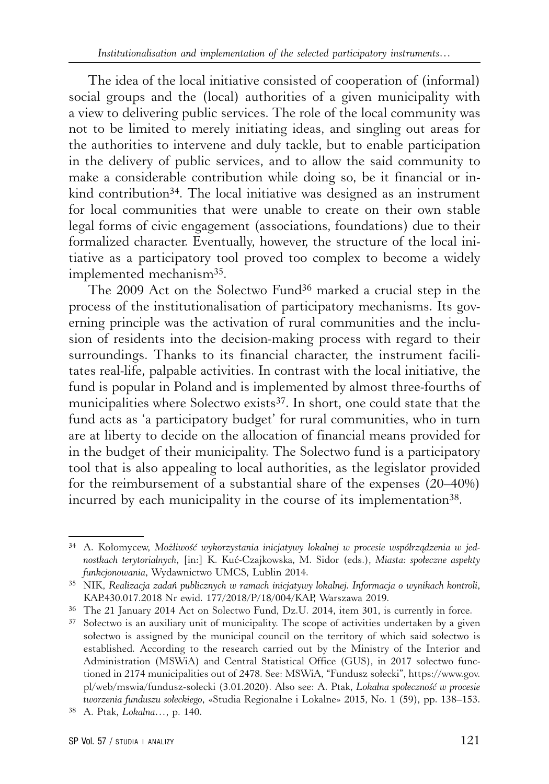The idea of the local initiative consisted of cooperation of (informal) social groups and the (local) authorities of a given municipality with a view to delivering public services. The role of the local community was not to be limited to merely initiating ideas, and singling out areas for the authorities to intervene and duly tackle, but to enable participation in the delivery of public services, and to allow the said community to make a considerable contribution while doing so, be it financial or inkind contribution<sup>34</sup>. The local initiative was designed as an instrument for local communities that were unable to create on their own stable legal forms of civic engagement (associations, foundations) due to their formalized character. Eventually, however, the structure of the local initiative as a participatory tool proved too complex to become a widely implemented mechanism35.

The 2009 Act on the Solectwo Fund<sup>36</sup> marked a crucial step in the process of the institutionalisation of participatory mechanisms. Its governing principle was the activation of rural communities and the inclusion of residents into the decision-making process with regard to their surroundings. Thanks to its financial character, the instrument facilitates real-life, palpable activities. In contrast with the local initiative, the fund is popular in Poland and is implemented by almost three-fourths of municipalities where Solectwo exists<sup>37</sup>. In short, one could state that the fund acts as 'a participatory budget' for rural communities, who in turn are at liberty to decide on the allocation of financial means provided for in the budget of their municipality. The Solectwo fund is a participatory tool that is also appealing to local authorities, as the legislator provided for the reimbursement of a substantial share of the expenses (20–40%) incurred by each municipality in the course of its implementation<sup>38</sup>.

<sup>34</sup> A. Kołomycew, *Możliwość wykorzystania inicjatywy lokalnej w procesie współrządzenia w jednostkach terytorialnych*, [in:] K. Kuć-Czajkowska, M. Sidor (eds.), *Miasta: społeczne aspekty funkcjonowania*, Wydawnictwo UMCS, Lublin 2014.

<sup>35</sup> NIK, *Realizacja zadań publicznych w ramach inicjatywy lokalnej. Informacja o wynikach kontroli*, KAP.430.017.2018 Nr ewid. 177/2018/P/18/004/KAP, Warszawa 2019.

<sup>36</sup> The 21 January 2014 Act on Solectwo Fund, Dz.U. 2014, item 301, is currently in force.

<sup>&</sup>lt;sup>37</sup> Sołectwo is an auxiliary unit of municipality. The scope of activities undertaken by a given sołectwo is assigned by the municipal council on the territory of which said sołectwo is established. According to the research carried out by the Ministry of the Interior and Administration (MSWiA) and Central Statistical Office (GUS), in 2017 sołectwo functioned in 2174 municipalities out of 2478. See: MSWiA, "Fundusz sołecki", https://www.gov. pl/web/mswia/fundusz-solecki (3.01.2020). Also see: A. Ptak, *Lokalna społeczność w procesie tworzenia funduszu sołeckiego*, «Studia Regionalne i Lokalne» 2015, No. 1 (59), pp. 138–153.

<sup>38</sup> A. Ptak, *Lokalna…*, p. 140.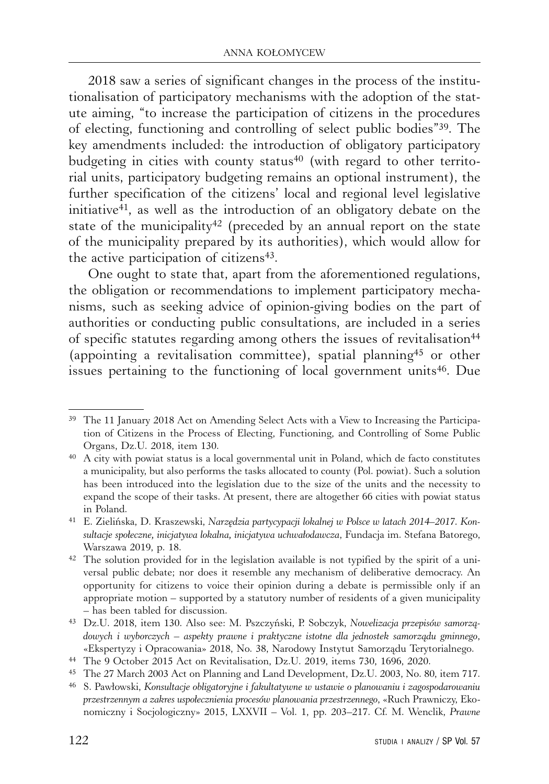2018 saw a series of significant changes in the process of the institutionalisation of participatory mechanisms with the adoption of the statute aiming, "to increase the participation of citizens in the procedures of electing, functioning and controlling of select public bodies"39. The key amendments included: the introduction of obligatory participatory budgeting in cities with county status<sup>40</sup> (with regard to other territorial units, participatory budgeting remains an optional instrument), the further specification of the citizens' local and regional level legislative initiative41, as well as the introduction of an obligatory debate on the state of the municipality<sup>42</sup> (preceded by an annual report on the state of the municipality prepared by its authorities), which would allow for the active participation of citizens<sup>43</sup>.

One ought to state that, apart from the aforementioned regulations, the obligation or recommendations to implement participatory mechanisms, such as seeking advice of opinion-giving bodies on the part of authorities or conducting public consultations, are included in a series of specific statutes regarding among others the issues of revitalisation<sup>44</sup> (appointing a revitalisation committee), spatial planning45 or other issues pertaining to the functioning of local government units<sup>46</sup>. Due

<sup>39</sup> The 11 January 2018 Act on Amending Select Acts with a View to Increasing the Participation of Citizens in the Process of Electing, Functioning, and Controlling of Some Public Organs, Dz.U. 2018, item 130.

<sup>40</sup> A city with powiat status is a local governmental unit in Poland, which de facto constitutes a municipality, but also performs the tasks allocated to county (Pol. powiat). Such a solution has been introduced into the legislation due to the size of the units and the necessity to expand the scope of their tasks. At present, there are altogether 66 cities with powiat status in Poland.

<sup>41</sup> E. Zielińska, D. Kraszewski, *Narzędzia partycypacji lokalnej w Polsce w latach 2014–2017. Konsultacje społeczne, inicjatywa lokalna, inicjatywa uchwałodawcza*, Fundacja im. Stefana Batorego, Warszawa 2019, p. 18.

 $42$  The solution provided for in the legislation available is not typified by the spirit of a universal public debate; nor does it resemble any mechanism of deliberative democracy. An opportunity for citizens to voice their opinion during a debate is permissible only if an appropriate motion – supported by a statutory number of residents of a given municipality – has been tabled for discussion.

<sup>43</sup> Dz.U. 2018, item 130. Also see: M. Pszczyński, P. Sobczyk, *Nowelizacja przepisów samorządowych i wyborczych – aspekty prawne i praktyczne istotne dla jednostek samorządu gminnego*, «Ekspertyzy i Opracowania» 2018, No. 38, Narodowy Instytut Samorządu Terytorialnego.

<sup>44</sup> The 9 October 2015 Act on Revitalisation, Dz.U. 2019, items 730, 1696, 2020.

<sup>45</sup> The 27 March 2003 Act on Planning and Land Development, Dz.U. 2003, No. 80, item 717.

<sup>46</sup> S. Pawłowski, *Konsultacje obligatoryjne i fakultatywne w ustawie o planowaniu i zagospodarowaniu przestrzennym a zakres uspołecznienia procesów planowania przestrzennego*, «Ruch Prawniczy, Ekonomiczny i Socjologiczny» 2015, LXXVII – Vol. 1, pp. 203–217. Cf. M. Wenclik, *Prawne*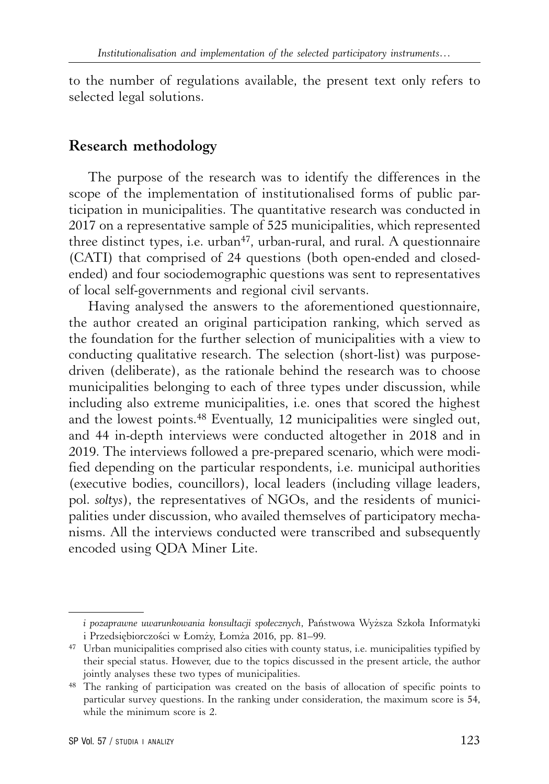to the number of regulations available, the present text only refers to selected legal solutions.

#### **Research methodology**

The purpose of the research was to identify the differences in the scope of the implementation of institutionalised forms of public participation in municipalities. The quantitative research was conducted in 2017 on a representative sample of 525 municipalities, which represented three distinct types, i.e.  $urban<sup>47</sup>$ , urban-rural, and rural. A questionnaire (CATI) that comprised of 24 questions (both open-ended and closedended) and four sociodemographic questions was sent to representatives of local self-governments and regional civil servants.

Having analysed the answers to the aforementioned questionnaire, the author created an original participation ranking, which served as the foundation for the further selection of municipalities with a view to conducting qualitative research. The selection (short-list) was purposedriven (deliberate), as the rationale behind the research was to choose municipalities belonging to each of three types under discussion, while including also extreme municipalities, i.e. ones that scored the highest and the lowest points.48 Eventually, 12 municipalities were singled out, and 44 in-depth interviews were conducted altogether in 2018 and in 2019. The interviews followed a pre-prepared scenario, which were modified depending on the particular respondents, i.e. municipal authorities (executive bodies, councillors), local leaders (including village leaders, pol. *soltys*), the representatives of NGOs, and the residents of municipalities under discussion, who availed themselves of participatory mechanisms. All the interviews conducted were transcribed and subsequently encoded using QDA Miner Lite.

*i pozaprawne uwarunkowania konsultacji społecznych*, Państwowa Wyższa Szkoła Informatyki i Przedsiębiorczości w Łomży, Łomża 2016, pp. 81–99.

<sup>47</sup> Urban municipalities comprised also cities with county status, i.e. municipalities typified by their special status. However, due to the topics discussed in the present article, the author jointly analyses these two types of municipalities.

<sup>48</sup> The ranking of participation was created on the basis of allocation of specific points to particular survey questions. In the ranking under consideration, the maximum score is 54, while the minimum score is 2.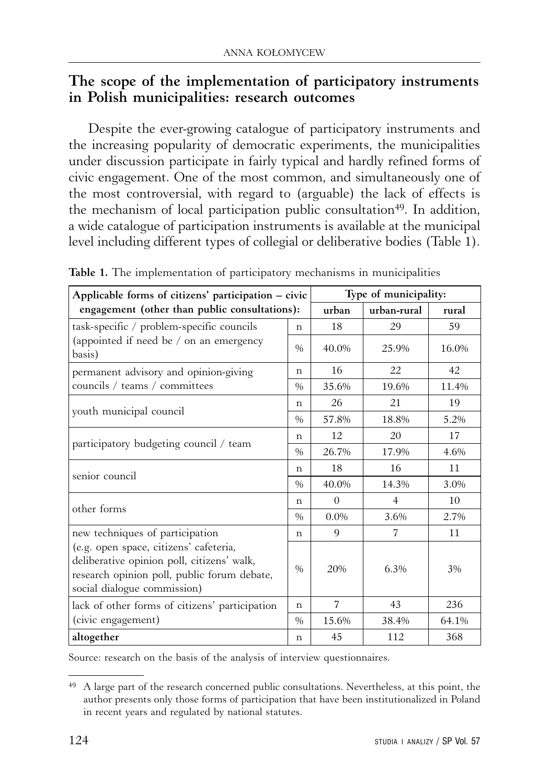#### **The scope of the implementation of participatory instruments in Polish municipalities: research outcomes**

Despite the ever-growing catalogue of participatory instruments and the increasing popularity of democratic experiments, the municipalities under discussion participate in fairly typical and hardly refined forms of civic engagement. One of the most common, and simultaneously one of the most controversial, with regard to (arguable) the lack of effects is the mechanism of local participation public consultation<sup>49</sup>. In addition, a wide catalogue of participation instruments is available at the municipal level including different types of collegial or deliberative bodies (Table 1).

| Applicable forms of citizens' participation – civic<br>engagement (other than public consultations):                                                               |               | Type of municipality: |                |       |  |
|--------------------------------------------------------------------------------------------------------------------------------------------------------------------|---------------|-----------------------|----------------|-------|--|
|                                                                                                                                                                    |               | urban                 | urban-rural    | rural |  |
| task-specific / problem-specific councils<br>(appointed if need be / on an emergency<br>basis)                                                                     | n             | 18                    | 29             | 59    |  |
|                                                                                                                                                                    | $\frac{0}{0}$ | 40.0%                 | 25.9%          | 16.0% |  |
| permanent advisory and opinion-giving<br>councils / teams / committees                                                                                             | n             | 16                    | 22             | 42    |  |
|                                                                                                                                                                    | $\frac{0}{0}$ | 35.6%                 | 19.6%          | 11.4% |  |
| youth municipal council                                                                                                                                            | n             | 26                    | 21             | 19    |  |
|                                                                                                                                                                    | $\frac{0}{0}$ | 57.8%                 | 18.8%          | 5.2%  |  |
| participatory budgeting council / team                                                                                                                             | n             | 12                    | 20             | 17    |  |
|                                                                                                                                                                    | $\frac{0}{0}$ | 26.7%                 | 17.9%          | 4.6%  |  |
| senior council                                                                                                                                                     | n             | 18                    | 16             | 11    |  |
|                                                                                                                                                                    | $\frac{0}{0}$ | 40.0%                 | 14.3%          | 3.0%  |  |
| other forms                                                                                                                                                        | n             | $\Omega$              | $\overline{4}$ | 10    |  |
|                                                                                                                                                                    | $\frac{0}{0}$ | $0.0\%$               | 3.6%           | 2.7%  |  |
| new techniques of participation                                                                                                                                    | $\mathbf n$   | 9                     | 7              | 11    |  |
| (e.g. open space, citizens' cafeteria,<br>deliberative opinion poll, citizens' walk,<br>research opinion poll, public forum debate,<br>social dialogue commission) | $\frac{0}{0}$ | 20%                   | 6.3%           | 3%    |  |
| lack of other forms of citizens' participation<br>(civic engagement)                                                                                               | n             | $\overline{7}$        | 43             | 236   |  |
|                                                                                                                                                                    | $\frac{0}{0}$ | 15.6%                 | 38.4%          | 64.1% |  |
| altogether                                                                                                                                                         | n             | 45                    | 112            | 368   |  |

**Table 1.** The implementation of participatory mechanisms in municipalities

Source: research on the basis of the analysis of interview questionnaires.

<sup>&</sup>lt;sup>49</sup> A large part of the research concerned public consultations. Nevertheless, at this point, the author presents only those forms of participation that have been institutionalized in Poland in recent years and regulated by national statutes.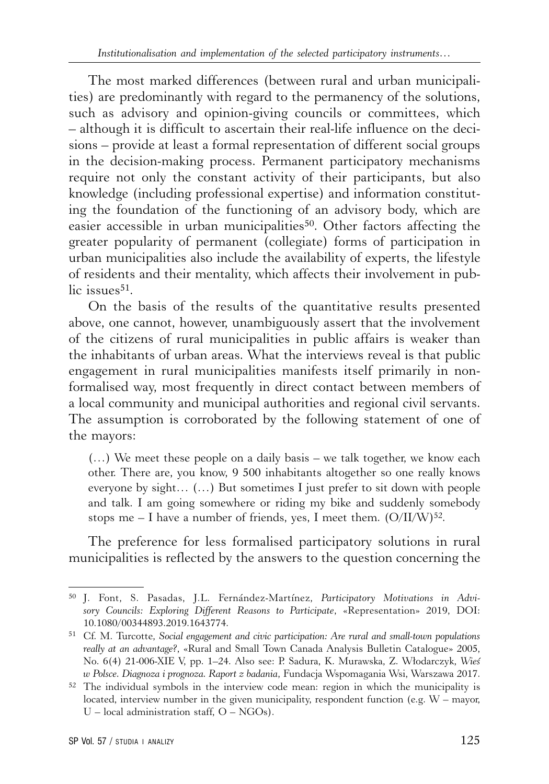The most marked differences (between rural and urban municipalities) are predominantly with regard to the permanency of the solutions, such as advisory and opinion-giving councils or committees, which – although it is difficult to ascertain their real-life influence on the decisions – provide at least a formal representation of different social groups in the decision-making process. Permanent participatory mechanisms require not only the constant activity of their participants, but also knowledge (including professional expertise) and information constituting the foundation of the functioning of an advisory body, which are easier accessible in urban municipalities<sup>50</sup>. Other factors affecting the greater popularity of permanent (collegiate) forms of participation in urban municipalities also include the availability of experts, the lifestyle of residents and their mentality, which affects their involvement in public issues $51$ .

On the basis of the results of the quantitative results presented above, one cannot, however, unambiguously assert that the involvement of the citizens of rural municipalities in public affairs is weaker than the inhabitants of urban areas. What the interviews reveal is that public engagement in rural municipalities manifests itself primarily in nonformalised way, most frequently in direct contact between members of a local community and municipal authorities and regional civil servants. The assumption is corroborated by the following statement of one of the mayors:

(…) We meet these people on a daily basis – we talk together, we know each other. There are, you know, 9 500 inhabitants altogether so one really knows everyone by sight… (…) But sometimes I just prefer to sit down with people and talk. I am going somewhere or riding my bike and suddenly somebody stops me – I have a number of friends, yes, I meet them.  $(O/II/W)^{52}$ .

The preference for less formalised participatory solutions in rural municipalities is reflected by the answers to the question concerning the

<sup>50</sup> J. Font, S. Pasadas, J.L. Fernández-Martínez, *Participatory Motivations in Advisory Councils: Exploring Different Reasons to Participate*, «Representation» 2019, DOI: 10.1080/00344893.2019.1643774.

<sup>51</sup> Cf. M. Turcotte, *Social engagement and civic participation: Are rural and small-town populations really at an advantage?*, «Rural and Small Town Canada Analysis Bulletin Catalogue» 2005, No. 6(4) 21-006-XIE V, pp. 1–24. Also see: P. Sadura, K. Murawska, Z. Włodarczyk, *Wieś w Polsce. Diagnoza i prognoza. Raport z badania*, Fundacja Wspomagania Wsi, Warszawa 2017.

<sup>52</sup> The individual symbols in the interview code mean: region in which the municipality is located, interview number in the given municipality, respondent function (e.g.  $W$  – mayor,  $U$  – local administration staff,  $O$  – NGOs).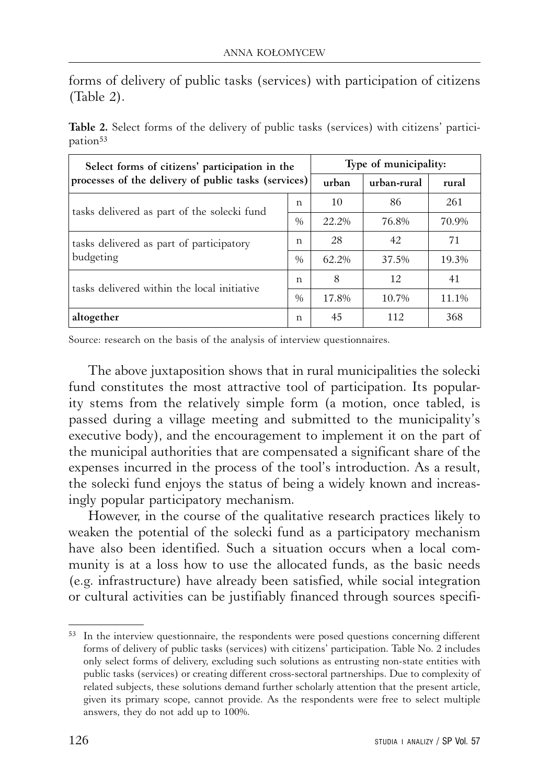forms of delivery of public tasks (services) with participation of citizens (Table 2).

| Select forms of citizens' participation in the<br>processes of the delivery of public tasks (services) |               | Type of municipality: |             |       |  |
|--------------------------------------------------------------------------------------------------------|---------------|-----------------------|-------------|-------|--|
|                                                                                                        |               | urban                 | urban-rural | rural |  |
| tasks delivered as part of the solecki fund                                                            | n             | 10                    | 86          | 261   |  |
|                                                                                                        | $\frac{0}{0}$ | 22.2%                 | 76.8%       | 70.9% |  |
| tasks delivered as part of participatory<br>budgeting                                                  | n             | 28                    | 42          | 71    |  |
|                                                                                                        | $\frac{0}{0}$ | 62.2%                 | 37.5%       | 19.3% |  |
| tasks delivered within the local initiative                                                            | n             | 8                     | 12          | 41    |  |
|                                                                                                        | $\%$          | 17.8%                 | 10.7%       | 11.1% |  |
| altogether                                                                                             | n             | 45                    | 112         | 368   |  |

**Table 2.** Select forms of the delivery of public tasks (services) with citizens' participation<sup>53</sup>

Source: research on the basis of the analysis of interview questionnaires.

The above juxtaposition shows that in rural municipalities the solecki fund constitutes the most attractive tool of participation. Its popularity stems from the relatively simple form (a motion, once tabled, is passed during a village meeting and submitted to the municipality's executive body), and the encouragement to implement it on the part of the municipal authorities that are compensated a significant share of the expenses incurred in the process of the tool's introduction. As a result, the solecki fund enjoys the status of being a widely known and increasingly popular participatory mechanism.

However, in the course of the qualitative research practices likely to weaken the potential of the solecki fund as a participatory mechanism have also been identified. Such a situation occurs when a local community is at a loss how to use the allocated funds, as the basic needs (e.g. infrastructure) have already been satisfied, while social integration or cultural activities can be justifiably financed through sources specifi-

<sup>&</sup>lt;sup>53</sup> In the interview questionnaire, the respondents were posed questions concerning different forms of delivery of public tasks (services) with citizens' participation. Table No. 2 includes only select forms of delivery, excluding such solutions as entrusting non-state entities with public tasks (services) or creating different cross-sectoral partnerships. Due to complexity of related subjects, these solutions demand further scholarly attention that the present article, given its primary scope, cannot provide. As the respondents were free to select multiple answers, they do not add up to 100%.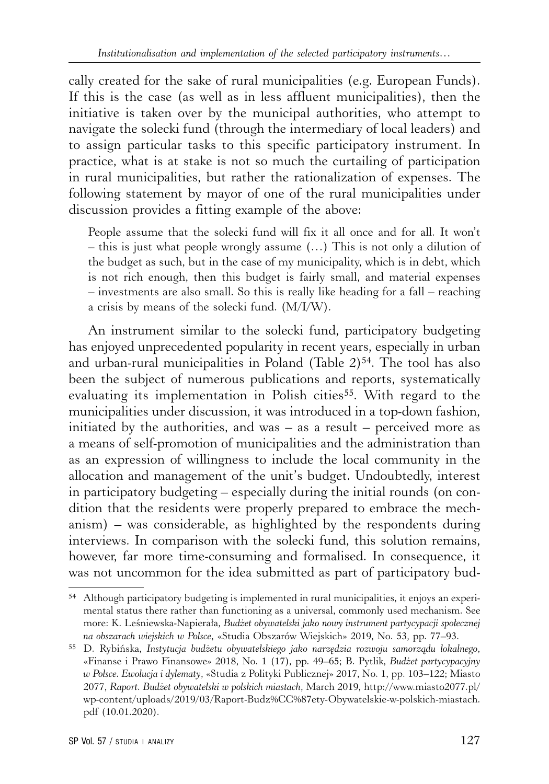cally created for the sake of rural municipalities (e.g. European Funds). If this is the case (as well as in less affluent municipalities), then the initiative is taken over by the municipal authorities, who attempt to navigate the solecki fund (through the intermediary of local leaders) and to assign particular tasks to this specific participatory instrument. In practice, what is at stake is not so much the curtailing of participation in rural municipalities, but rather the rationalization of expenses. The following statement by mayor of one of the rural municipalities under discussion provides a fitting example of the above:

People assume that the solecki fund will fix it all once and for all. It won't – this is just what people wrongly assume (…) This is not only a dilution of the budget as such, but in the case of my municipality, which is in debt, which is not rich enough, then this budget is fairly small, and material expenses – investments are also small. So this is really like heading for a fall – reaching a crisis by means of the solecki fund. (M/I/W).

An instrument similar to the solecki fund, participatory budgeting has enjoyed unprecedented popularity in recent years, especially in urban and urban-rural municipalities in Poland (Table  $2$ )<sup>54</sup>. The tool has also been the subject of numerous publications and reports, systematically evaluating its implementation in Polish cities<sup>55</sup>. With regard to the municipalities under discussion, it was introduced in a top-down fashion, initiated by the authorities, and was  $-$  as a result  $-$  perceived more as a means of self-promotion of municipalities and the administration than as an expression of willingness to include the local community in the allocation and management of the unit's budget. Undoubtedly, interest in participatory budgeting – especially during the initial rounds (on condition that the residents were properly prepared to embrace the mechanism) – was considerable, as highlighted by the respondents during interviews. In comparison with the solecki fund, this solution remains, however, far more time-consuming and formalised. In consequence, it was not uncommon for the idea submitted as part of participatory bud-

<sup>54</sup> Although participatory budgeting is implemented in rural municipalities, it enjoys an experimental status there rather than functioning as a universal, commonly used mechanism. See more: K. Leśniewska-Napierała, *Budżet obywatelski jako nowy instrument partycypacji społecznej na obszarach wiejskich w Polsce*, «Studia Obszarów Wiejskich» 2019, No. 53, pp. 77–93.

<sup>55</sup> D. Rybińska, *Instytucja budżetu obywatelskiego jako narzędzia rozwoju samorządu lokalnego*, «Finanse i Prawo Finansowe» 2018, No. 1 (17), pp. 49–65; B. Pytlik, *Budżet partycypacyjny w Polsce. Ewolucja i dylematy*, «Studia z Polityki Publicznej» 2017, No. 1, pp. 103–122; Miasto 2077, *Raport. Budżet obywatelski w polskich miastach*, March 2019, http://www.miasto2077.pl/ wp-content/uploads/2019/03/Raport-Budz%CC%87ety-Obywatelskie-w-polskich-miastach. pdf (10.01.2020).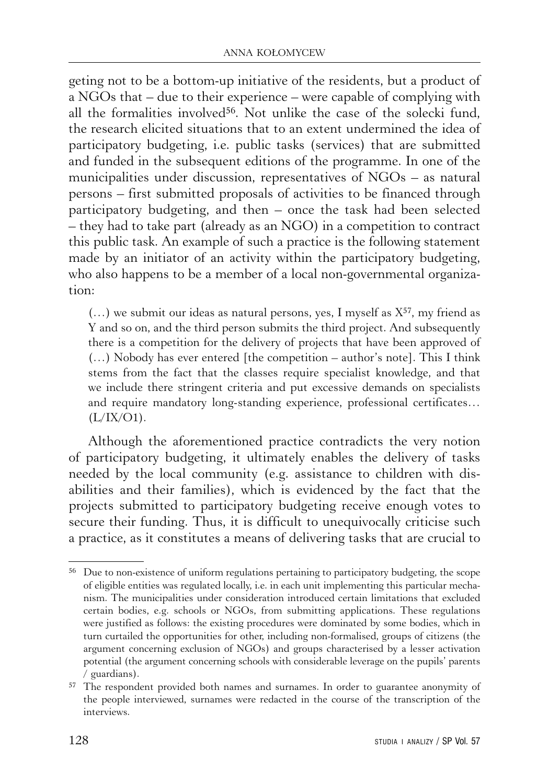geting not to be a bottom-up initiative of the residents, but a product of a NGOs that – due to their experience – were capable of complying with all the formalities involved56. Not unlike the case of the solecki fund, the research elicited situations that to an extent undermined the idea of participatory budgeting, i.e. public tasks (services) that are submitted and funded in the subsequent editions of the programme. In one of the municipalities under discussion, representatives of NGOs – as natural persons – first submitted proposals of activities to be financed through participatory budgeting, and then – once the task had been selected – they had to take part (already as an NGO) in a competition to contract this public task. An example of such a practice is the following statement made by an initiator of an activity within the participatory budgeting, who also happens to be a member of a local non-governmental organization:

 $(...)$  we submit our ideas as natural persons, yes, I myself as  $X^{57}$ , my friend as Y and so on, and the third person submits the third project. And subsequently there is a competition for the delivery of projects that have been approved of (…) Nobody has ever entered [the competition – author's note]. This I think stems from the fact that the classes require specialist knowledge, and that we include there stringent criteria and put excessive demands on specialists and require mandatory long-standing experience, professional certificates…  $(L/IX/O1)$ .

Although the aforementioned practice contradicts the very notion of participatory budgeting, it ultimately enables the delivery of tasks needed by the local community (e.g. assistance to children with disabilities and their families), which is evidenced by the fact that the projects submitted to participatory budgeting receive enough votes to secure their funding. Thus, it is difficult to unequivocally criticise such a practice, as it constitutes a means of delivering tasks that are crucial to

<sup>56</sup> Due to non-existence of uniform regulations pertaining to participatory budgeting, the scope of eligible entities was regulated locally, i.e. in each unit implementing this particular mechanism. The municipalities under consideration introduced certain limitations that excluded certain bodies, e.g. schools or NGOs, from submitting applications. These regulations were justified as follows: the existing procedures were dominated by some bodies, which in turn curtailed the opportunities for other, including non-formalised, groups of citizens (the argument concerning exclusion of NGOs) and groups characterised by a lesser activation potential (the argument concerning schools with considerable leverage on the pupils' parents / guardians).

<sup>57</sup> The respondent provided both names and surnames. In order to guarantee anonymity of the people interviewed, surnames were redacted in the course of the transcription of the interviews.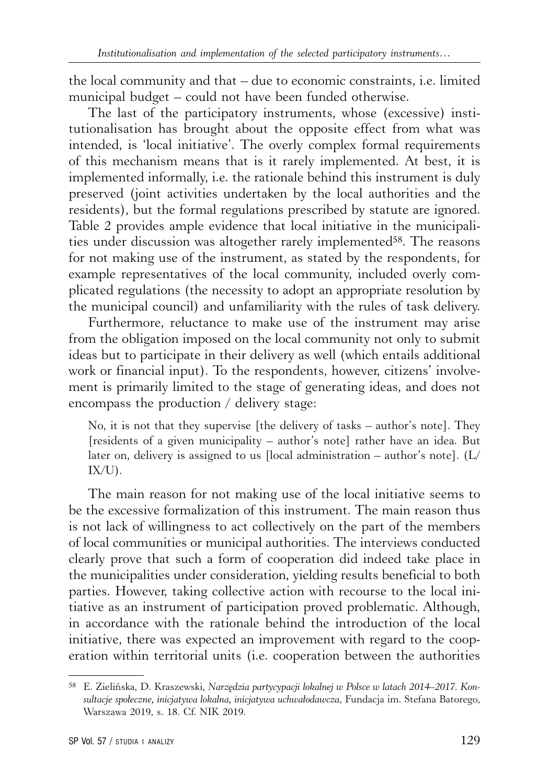the local community and that – due to economic constraints, i.e. limited municipal budget – could not have been funded otherwise.

The last of the participatory instruments, whose (excessive) institutionalisation has brought about the opposite effect from what was intended, is 'local initiative'. The overly complex formal requirements of this mechanism means that is it rarely implemented. At best, it is implemented informally, i.e. the rationale behind this instrument is duly preserved (joint activities undertaken by the local authorities and the residents), but the formal regulations prescribed by statute are ignored. Table 2 provides ample evidence that local initiative in the municipalities under discussion was altogether rarely implemented58. The reasons for not making use of the instrument, as stated by the respondents, for example representatives of the local community, included overly complicated regulations (the necessity to adopt an appropriate resolution by the municipal council) and unfamiliarity with the rules of task delivery.

Furthermore, reluctance to make use of the instrument may arise from the obligation imposed on the local community not only to submit ideas but to participate in their delivery as well (which entails additional work or financial input). To the respondents, however, citizens' involvement is primarily limited to the stage of generating ideas, and does not encompass the production / delivery stage:

No, it is not that they supervise [the delivery of tasks – author's note]. They [residents of a given municipality – author's note] rather have an idea. But later on, delivery is assigned to us [local administration – author's note].  $(L/$  $IX/U$ ).

The main reason for not making use of the local initiative seems to be the excessive formalization of this instrument. The main reason thus is not lack of willingness to act collectively on the part of the members of local communities or municipal authorities. The interviews conducted clearly prove that such a form of cooperation did indeed take place in the municipalities under consideration, yielding results beneficial to both parties. However, taking collective action with recourse to the local initiative as an instrument of participation proved problematic. Although, in accordance with the rationale behind the introduction of the local initiative, there was expected an improvement with regard to the cooperation within territorial units (i.e. cooperation between the authorities

<sup>58</sup> E. Zielińska, D. Kraszewski, *Narzędzia partycypacji lokalnej w Polsce w latach 2014–2017. Konsultacje społeczne, inicjatywa lokalna, inicjatywa uchwałodawcza*, Fundacja im. Stefana Batorego, Warszawa 2019, s. 18. Cf. NIK 2019.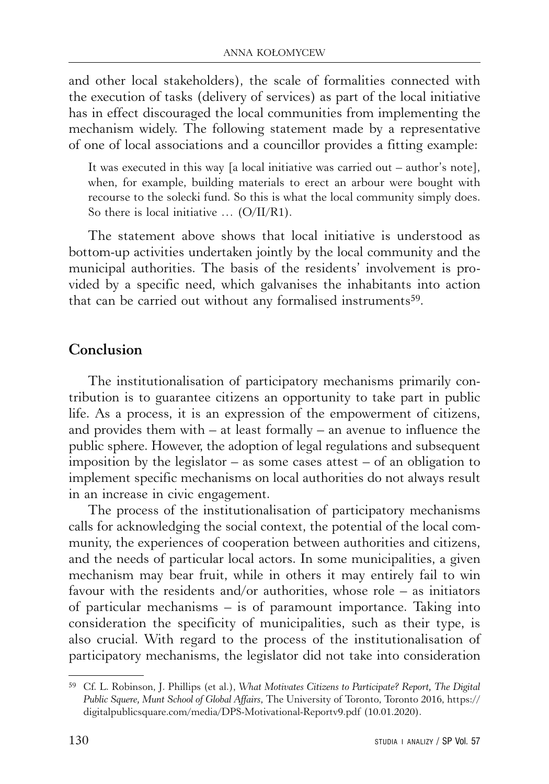and other local stakeholders), the scale of formalities connected with the execution of tasks (delivery of services) as part of the local initiative has in effect discouraged the local communities from implementing the mechanism widely. The following statement made by a representative of one of local associations and a councillor provides a fitting example:

It was executed in this way [a local initiative was carried out – author's note], when, for example, building materials to erect an arbour were bought with recourse to the solecki fund. So this is what the local community simply does. So there is local initiative ... (O/II/R1).

The statement above shows that local initiative is understood as bottom-up activities undertaken jointly by the local community and the municipal authorities. The basis of the residents' involvement is provided by a specific need, which galvanises the inhabitants into action that can be carried out without any formalised instruments<sup>59</sup>.

## **Conclusion**

The institutionalisation of participatory mechanisms primarily contribution is to guarantee citizens an opportunity to take part in public life. As a process, it is an expression of the empowerment of citizens, and provides them with  $-$  at least formally  $-$  an avenue to influence the public sphere. However, the adoption of legal regulations and subsequent imposition by the legislator – as some cases attest – of an obligation to implement specific mechanisms on local authorities do not always result in an increase in civic engagement.

The process of the institutionalisation of participatory mechanisms calls for acknowledging the social context, the potential of the local community, the experiences of cooperation between authorities and citizens, and the needs of particular local actors. In some municipalities, a given mechanism may bear fruit, while in others it may entirely fail to win favour with the residents and/or authorities, whose role – as initiators of particular mechanisms – is of paramount importance. Taking into consideration the specificity of municipalities, such as their type, is also crucial. With regard to the process of the institutionalisation of participatory mechanisms, the legislator did not take into consideration

<sup>59</sup> Cf. L. Robinson, J. Phillips (et al.), *What Motivates Citizens to Participate? Report, The Digital Public Squere, Munt School of Global Affairs*, The University of Toronto, Toronto 2016, https:// digitalpublicsquare.com/media/DPS-Motivational-Reportv9.pdf (10.01.2020).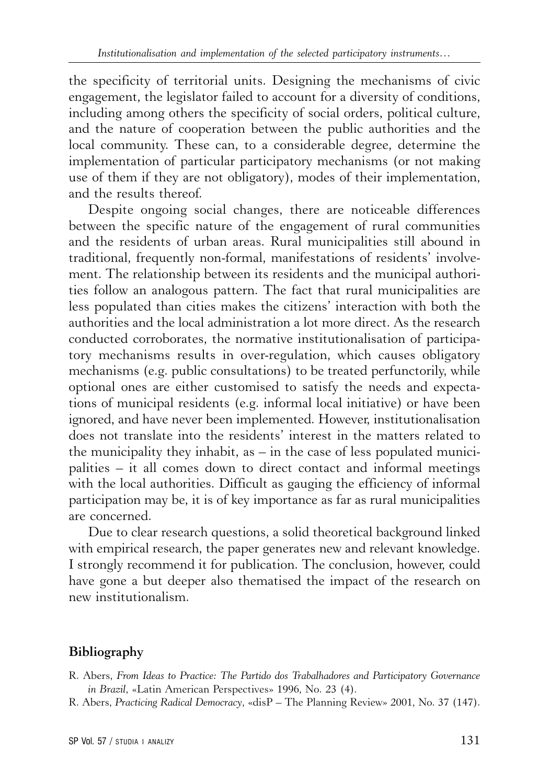the specificity of territorial units. Designing the mechanisms of civic engagement, the legislator failed to account for a diversity of conditions, including among others the specificity of social orders, political culture, and the nature of cooperation between the public authorities and the local community. These can, to a considerable degree, determine the implementation of particular participatory mechanisms (or not making use of them if they are not obligatory), modes of their implementation, and the results thereof.

Despite ongoing social changes, there are noticeable differences between the specific nature of the engagement of rural communities and the residents of urban areas. Rural municipalities still abound in traditional, frequently non-formal, manifestations of residents' involvement. The relationship between its residents and the municipal authorities follow an analogous pattern. The fact that rural municipalities are less populated than cities makes the citizens' interaction with both the authorities and the local administration a lot more direct. As the research conducted corroborates, the normative institutionalisation of participatory mechanisms results in over-regulation, which causes obligatory mechanisms (e.g. public consultations) to be treated perfunctorily, while optional ones are either customised to satisfy the needs and expectations of municipal residents (e.g. informal local initiative) or have been ignored, and have never been implemented. However, institutionalisation does not translate into the residents' interest in the matters related to the municipality they inhabit, as – in the case of less populated municipalities – it all comes down to direct contact and informal meetings with the local authorities. Difficult as gauging the efficiency of informal participation may be, it is of key importance as far as rural municipalities are concerned.

Due to clear research questions, a solid theoretical background linked with empirical research, the paper generates new and relevant knowledge. I strongly recommend it for publication. The conclusion, however, could have gone a but deeper also thematised the impact of the research on new institutionalism.

#### **Bibliography**

- R. Abers, *From Ideas to Practice: The Partido dos Trabalhadores and Participatory Governance in Brazil*, «Latin American Perspectives» 1996, No. 23 (4).
- R. Abers, *Practicing Radical Democracy*, «disP The Planning Review» 2001, No. 37 (147).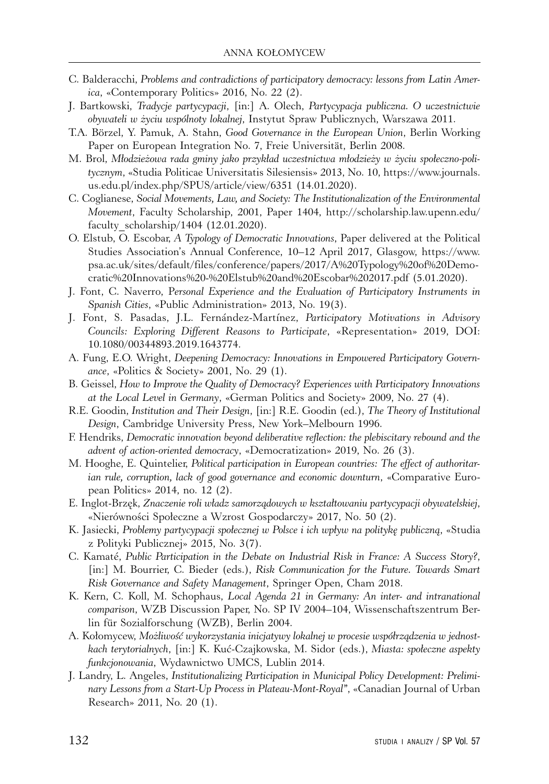- C. Balderacchi, *Problems and contradictions of participatory democracy: lessons from Latin America*, «Contemporary Politics» 2016, No. 22 (2).
- J. Bartkowski, *Tradycje partycypacji*, [in:] A. Olech, *Partycypacja publiczna. O uczestnictwie obywateli w życiu wspólnoty lokalnej*, Instytut Spraw Publicznych, Warszawa 2011.
- T.A. Börzel, Y. Pamuk, A. Stahn, *Good Governance in the European Union*, Berlin Working Paper on European Integration No. 7, Freie Universität, Berlin 2008.
- M. Brol, *Młodzieżowa rada gminy jako przykład uczestnictwa młodzieży w życiu społeczno-politycznym*, «Studia Politicae Universitatis Silesiensis» 2013, No. 10, https://www.journals. us.edu.pl/index.php/SPUS/article/view/6351 (14.01.2020).
- C. Coglianese, *Social Movements, Law, and Society: The Institutionalization of the Environmental Movement*, Faculty Scholarship, 2001, Paper 1404, http://scholarship.law.upenn.edu/ faculty\_scholarship/1404 (12.01.2020).
- O. Elstub, O. Escobar, *A Typology of Democratic Innovations*, Paper delivered at the Political Studies Association's Annual Conference, 10–12 April 2017, Glasgow, https://www. psa.ac.uk/sites/default/files/conference/papers/2017/A%20Typology%20of%20Democratic%20Innovations%20-%20Elstub%20and%20Escobar%202017.pdf (5.01.2020).
- J. Font, C. Naverro, P*ersonal Experience and the Evaluation of Participatory Instruments in Spanish Cities*, «Public Administration» 2013, No. 19(3).
- J. Font, S. Pasadas, J.L. Fernández-Martínez, *Participatory Motivations in Advisory Councils: Exploring Different Reasons to Participate*, «Representation» 2019, DOI: 10.1080/00344893.2019.1643774.
- A. Fung, E.O. Wright, *Deepening Democracy: Innovations in Empowered Participatory Governance*, «Politics & Society» 2001, No. 29 (1).
- B. Geissel, *How to Improve the Quality of Democracy? Experiences with Participatory Innovations at the Local Level in Germany*, «German Politics and Society» 2009, No. 27 (4).
- R.E. Goodin, *Institution and Their Design*, [in:] R.E. Goodin (ed.), *The Theory of Institutional Design*, Cambridge University Press, New York–Melbourn 1996.
- F. Hendriks, *Democratic innovation beyond deliberative reflection: the plebiscitary rebound and the advent of action-oriented democracy*, «Democratization» 2019, No. 26 (3).
- M. Hooghe, E. Quintelier, *Political participation in European countries: The effect of authoritarian rule, corruption, lack of good governance and economic downturn*, «Comparative European Politics» 2014, no. 12 (2).
- E. Inglot-Brzęk, *Znaczenie roli władz samorządowych w kształtowaniu partycypacji obywatelskiej*, «Nierówności Społeczne a Wzrost Gospodarczy» 2017, No. 50 (2).
- K. Jasiecki, *Problemy partycypacji społecznej w Polsce i ich wpływ na politykę publiczną*, «Studia z Polityki Publicznej» 2015, No. 3(7).
- C. Kamaté, *Public Participation in the Debate on Industrial Risk in France: A Success Story?*, [in:] M. Bourrier, C. Bieder (eds.), *Risk Communication for the Future. Towards Smart Risk Governance and Safety Management*, Springer Open, Cham 2018.
- K. Kern, C. Koll, M. Schophaus, *Local Agenda 21 in Germany: An inter- and intranational comparison*, WZB Discussion Paper, No. SP IV 2004–104, Wissenschaftszentrum Berlin für Sozialforschung (WZB), Berlin 2004.
- A. Kołomycew, *Możliwość wykorzystania inicjatywy lokalnej w procesie współrządzenia w jednostkach terytorialnych*, [in:] K. Kuć-Czajkowska, M. Sidor (eds.), *Miasta: społeczne aspekty funkcjonowania*, Wydawnictwo UMCS, Lublin 2014.
- J. Landry, L. Angeles, *Institutionalizing Participation in Municipal Policy Development: Preliminary Lessons from a Start-Up Process in Plateau-Mont-Royal"*, «Canadian Journal of Urban Research» 2011, No. 20 (1).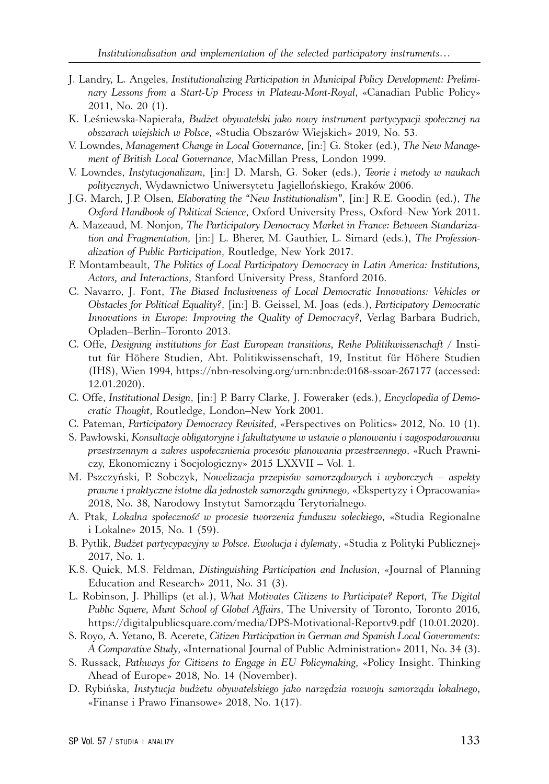- J. Landry, L. Angeles, *Institutionalizing Participation in Municipal Policy Development: Preliminary Lessons from a Start-Up Process in Plateau-Mont-Royal*, «Canadian Public Policy» 2011, No. 20 (1).
- K. Leśniewska-Napierała, *Budżet obywatelski jako nowy instrument partycypacji społecznej na obszarach wiejskich w Polsce*, «Studia Obszarów Wiejskich» 2019, No. 53.
- V. Lowndes, *Management Change in Local Governance*, [in:] G. Stoker (ed.), *The New Management of British Local Governance*, MacMillan Press, London 1999.
- V. Lowndes, *Instytucjonalizam*, [in:] D. Marsh, G. Soker (eds.), *Teorie i metody w naukach politycznych*, Wydawnictwo Uniwersytetu Jagiellońskiego, Kraków 2006.
- J.G. March, J.P. Olsen, *Elaborating the "New Institutionalism"*, [in:] R.E. Goodin (ed.), *The Oxford Handbook of Political Science*, Oxford University Press, Oxford–New York 2011.
- A. Mazeaud, M. Nonjon, *The Participatory Democracy Market in France: Between Standarization and Fragmentation*, [in:] L. Bherer, M. Gauthier, L. Simard (eds.), *The Professionalization of Public Participation*, Routledge, New York 2017.
- F. Montambeault, *The Politics of Local Participatory Democracy in Latin America: Institutions, Actors, and Interactions*, Stanford University Press, Stanford 2016.
- C. Navarro, J. Font, *The Biased Inclusiveness of Local Democratic Innovations: Vehicles or Obstacles for Political Equality?*, [in:] B. Geissel, M. Joas (eds.), *Participatory Democratic Innovations in Europe: Improving the Quality of Democracy?*, Verlag Barbara Budrich, Opladen–Berlin–Toronto 2013.
- C. Offe, *Designing institutions for East European transitions, Reihe Politikwissenschaft* / Institut für Höhere Studien, Abt. Politikwissenschaft, 19, Institut für Höhere Studien (IHS), Wien 1994, https://nbn-resolving.org/urn:nbn:de:0168-ssoar-267177 (accessed: 12.01.2020).
- C. Offe, *Institutional Design*, [in:] P. Barry Clarke, J. Foweraker (eds.), *Encyclopedia of Democratic Thought*, Routledge, London–New York 2001.
- C. Pateman, *Participatory Democracy Revisited*, «Perspectives on Politics» 2012, No. 10 (1).
- S. Pawłowski, *Konsultacje obligatoryjne i fakultatywne w ustawie o planowaniu i zagospodarowaniu przestrzennym a zakres uspołecznienia procesów planowania przestrzennego*, «Ruch Prawniczy, Ekonomiczny i Socjologiczny» 2015 LXXVII – Vol. 1.
- M. Pszczyński, P. Sobczyk, *Nowelizacja przepisów samorządowych i wyborczych aspekty prawne i praktyczne istotne dla jednostek samorządu gminnego*, «Ekspertyzy i Opracowania» 2018, No. 38, Narodowy Instytut Samorządu Terytorialnego.
- A. Ptak, *Lokalna społeczność w procesie tworzenia funduszu sołeckiego*, «Studia Regionalne i Lokalne» 2015, No. 1 (59).
- B. Pytlik, *Budżet partycypacyjny w Polsce. Ewolucja i dylematy*, «Studia z Polityki Publicznej» 2017, No. 1.
- K.S. Quick, M.S. Feldman, *Distinguishing Participation and Inclusion*, «Journal of Planning Education and Research» 2011, No. 31 (3).
- L. Robinson, J. Phillips (et al.), *What Motivates Citizens to Participate? Report, The Digital Public Squere, Munt School of Global Affairs*, The University of Toronto, Toronto 2016, https://digitalpublicsquare.com/media/DPS-Motivational-Reportv9.pdf (10.01.2020).
- S. Royo, A. Yetano, B. Acerete, *Citizen Participation in German and Spanish Local Governments: A Comparative Study*, «International Journal of Public Administration» 2011, No. 34 (3).
- S. Russack, *Pathways for Citizens to Engage in EU Policymaking*, «Policy Insight. Thinking Ahead of Europe» 2018, No. 14 (November).
- D. Rybińska, *Instytucja budżetu obywatelskiego jako narzędzia rozwoju samorządu lokalnego*, «Finanse i Prawo Finansowe» 2018, No. 1(17).